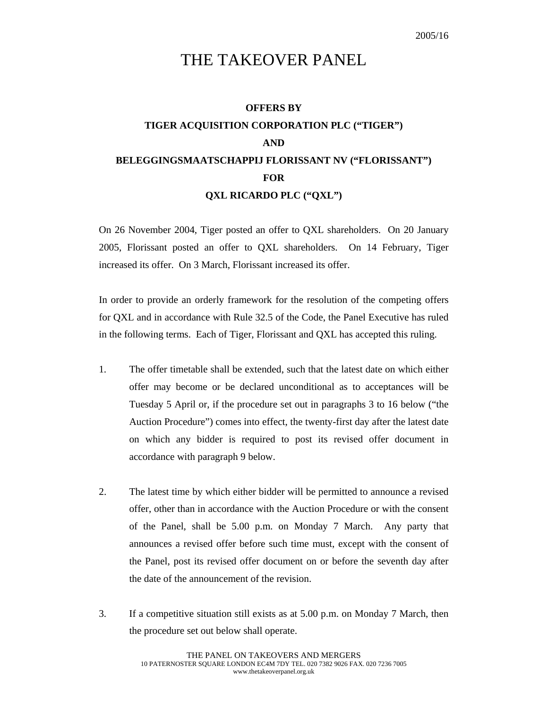## THE TAKEOVER PANEL

## **OFFERS BY TIGER ACQUISITION CORPORATION PLC ("TIGER") AND BELEGGINGSMAATSCHAPPIJ FLORISSANT NV ("FLORISSANT") FOR QXL RICARDO PLC ("QXL")**

On 26 November 2004, Tiger posted an offer to QXL shareholders. On 20 January 2005, Florissant posted an offer to QXL shareholders. On 14 February, Tiger increased its offer. On 3 March, Florissant increased its offer.

In order to provide an orderly framework for the resolution of the competing offers for QXL and in accordance with Rule 32.5 of the Code, the Panel Executive has ruled in the following terms. Each of Tiger, Florissant and QXL has accepted this ruling.

- 1. The offer timetable shall be extended, such that the latest date on which either offer may become or be declared unconditional as to acceptances will be Tuesday 5 April or, if the procedure set out in paragraphs 3 to 16 below ("the Auction Procedure") comes into effect, the twenty-first day after the latest date on which any bidder is required to post its revised offer document in accordance with paragraph 9 below.
- 2. The latest time by which either bidder will be permitted to announce a revised offer, other than in accordance with the Auction Procedure or with the consent of the Panel, shall be 5.00 p.m. on Monday 7 March. Any party that announces a revised offer before such time must, except with the consent of the Panel, post its revised offer document on or before the seventh day after the date of the announcement of the revision.
- 3. If a competitive situation still exists as at 5.00 p.m. on Monday 7 March, then the procedure set out below shall operate.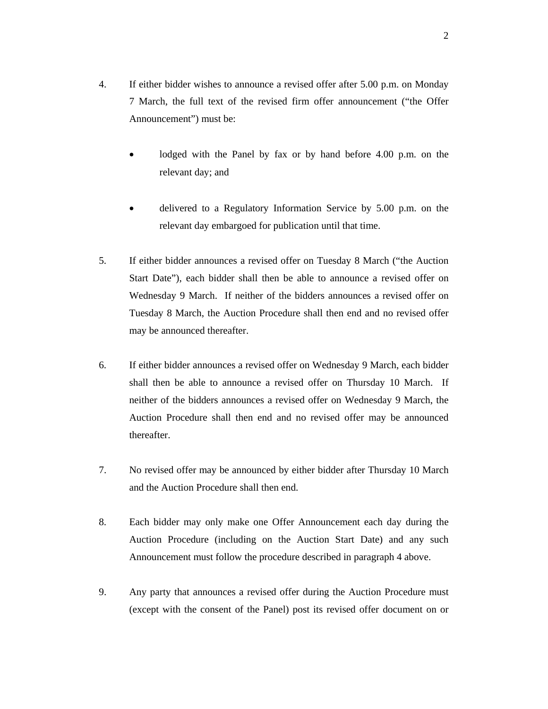- 4. If either bidder wishes to announce a revised offer after 5.00 p.m. on Monday 7 March, the full text of the revised firm offer announcement ("the Offer Announcement") must be:
	- lodged with the Panel by fax or by hand before 4.00 p.m. on the relevant day; and
	- delivered to a Regulatory Information Service by 5.00 p.m. on the relevant day embargoed for publication until that time.
- 5. If either bidder announces a revised offer on Tuesday 8 March ("the Auction Start Date"), each bidder shall then be able to announce a revised offer on Wednesday 9 March. If neither of the bidders announces a revised offer on Tuesday 8 March, the Auction Procedure shall then end and no revised offer may be announced thereafter.
- 6. If either bidder announces a revised offer on Wednesday 9 March, each bidder shall then be able to announce a revised offer on Thursday 10 March. If neither of the bidders announces a revised offer on Wednesday 9 March, the Auction Procedure shall then end and no revised offer may be announced thereafter.
- 7. No revised offer may be announced by either bidder after Thursday 10 March and the Auction Procedure shall then end.
- 8. Each bidder may only make one Offer Announcement each day during the Auction Procedure (including on the Auction Start Date) and any such Announcement must follow the procedure described in paragraph 4 above.
- 9. Any party that announces a revised offer during the Auction Procedure must (except with the consent of the Panel) post its revised offer document on or